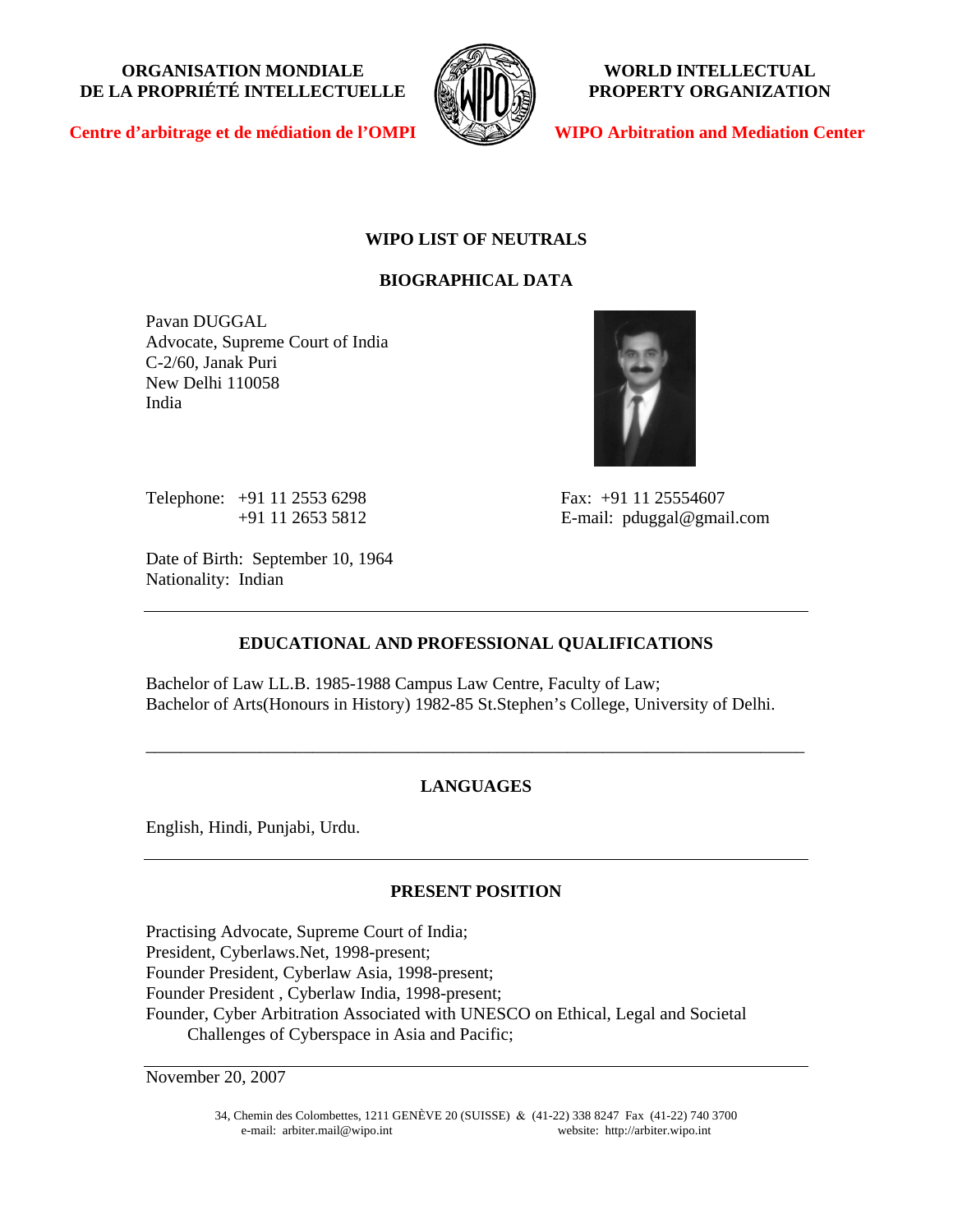**ORGANISATION MONDIALE DE LA PROPRIÉTÉ INTELLECTUELLE**



**WORLD INTELLECTUAL PROPERTY ORGANIZATION** 

**Centre d'arbitrage et de médiation de l'OMPI**

**WIPO Arbitration and Mediation Center**

# **WIPO LIST OF NEUTRALS**

# **BIOGRAPHICAL DATA**

Pavan DUGGAL Advocate, Supreme Court of India C-2/60, Janak Puri New Delhi 110058 India



Telephone: +91 11 2553 6298 Fax: +91 11 25554607

Date of Birth: September 10, 1964 Nationality: Indian

+91 11 2653 5812 E-mail: pduggal@gmail.com

# **EDUCATIONAL AND PROFESSIONAL QUALIFICATIONS**

Bachelor of Law LL.B. 1985-1988 Campus Law Centre, Faculty of Law; Bachelor of Arts(Honours in History) 1982-85 St.Stephen's College, University of Delhi.

# **LANGUAGES**

\_\_\_\_\_\_\_\_\_\_\_\_\_\_\_\_\_\_\_\_\_\_\_\_\_\_\_\_\_\_\_\_\_\_\_\_\_\_\_\_\_\_\_\_\_\_\_\_\_\_\_\_\_\_\_\_\_\_\_\_\_\_\_\_\_\_\_\_\_\_\_\_\_\_\_

English, Hindi, Punjabi, Urdu.

## **PRESENT POSITION**

Practising Advocate, Supreme Court of India; President, Cyberlaws.Net, 1998-present; Founder President, Cyberlaw Asia, 1998-present; Founder President , Cyberlaw India, 1998-present; Founder, Cyber Arbitration Associated with UNESCO on Ethical, Legal and Societal Challenges of Cyberspace in Asia and Pacific;

November 20, 2007

34, Chemin des Colombettes, 1211 GENÈVE 20 (SUISSE) & (41-22) 338 8247 Fax (41-22) 740 3700 e-mail: arbiter.mail@wipo.int website: http://arbiter.wipo.int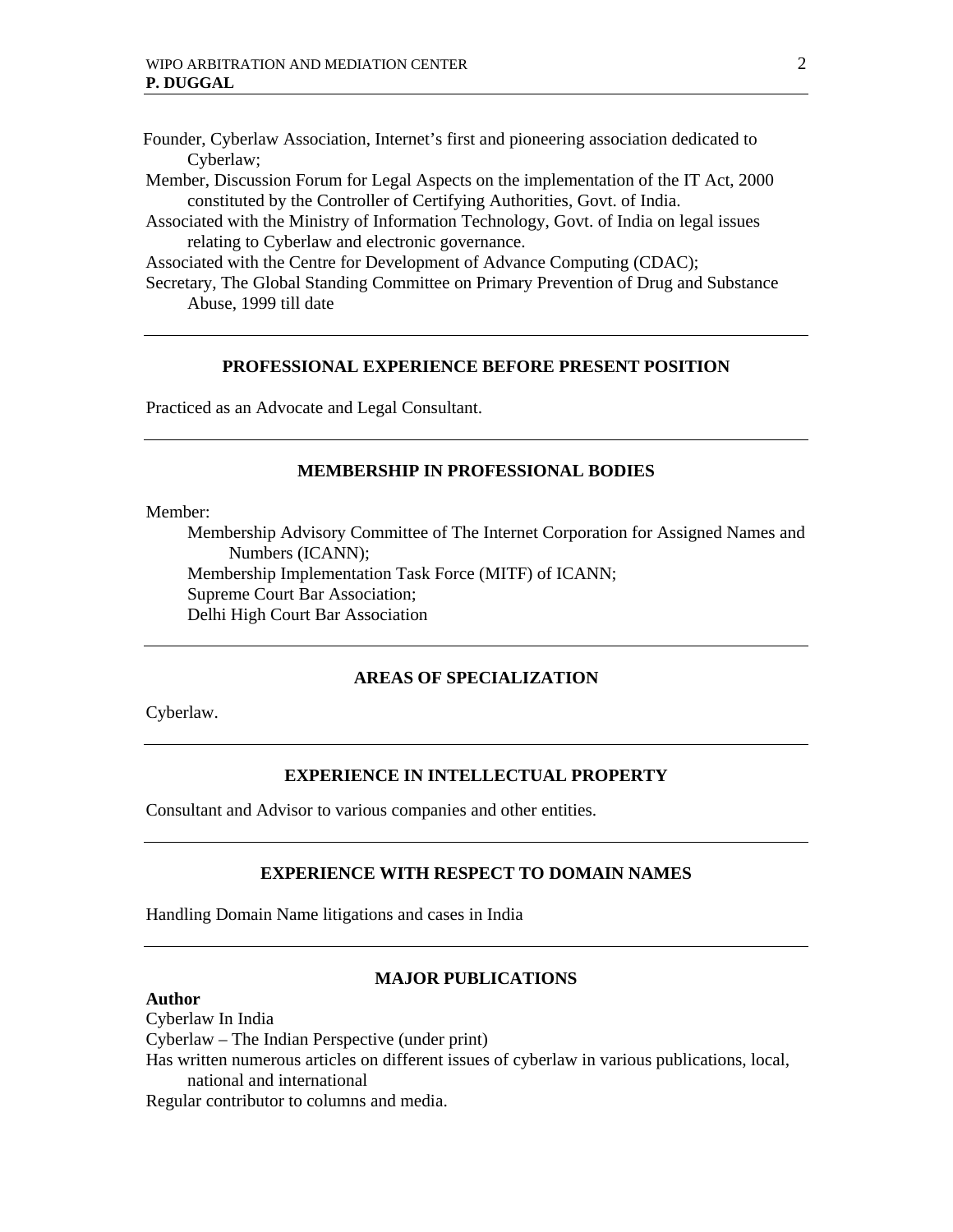Founder, Cyberlaw Association, Internet's first and pioneering association dedicated to Cyberlaw;

- Member, Discussion Forum for Legal Aspects on the implementation of the IT Act, 2000 constituted by the Controller of Certifying Authorities, Govt. of India.
- Associated with the Ministry of Information Technology, Govt. of India on legal issues relating to Cyberlaw and electronic governance.

Associated with the Centre for Development of Advance Computing (CDAC);

Secretary, The Global Standing Committee on Primary Prevention of Drug and Substance Abuse, 1999 till date

## **PROFESSIONAL EXPERIENCE BEFORE PRESENT POSITION**

Practiced as an Advocate and Legal Consultant.

## **MEMBERSHIP IN PROFESSIONAL BODIES**

Member:

Membership Advisory Committee of The Internet Corporation for Assigned Names and Numbers (ICANN); Membership Implementation Task Force (MITF) of ICANN; Supreme Court Bar Association; Delhi High Court Bar Association

## **AREAS OF SPECIALIZATION**

Cyberlaw.

#### **EXPERIENCE IN INTELLECTUAL PROPERTY**

Consultant and Advisor to various companies and other entities.

## **EXPERIENCE WITH RESPECT TO DOMAIN NAMES**

Handling Domain Name litigations and cases in India

#### **Author**

## **MAJOR PUBLICATIONS**

Cyberlaw In India Cyberlaw – The Indian Perspective (under print) Has written numerous articles on different issues of cyberlaw in various publications, local, national and international Regular contributor to columns and media.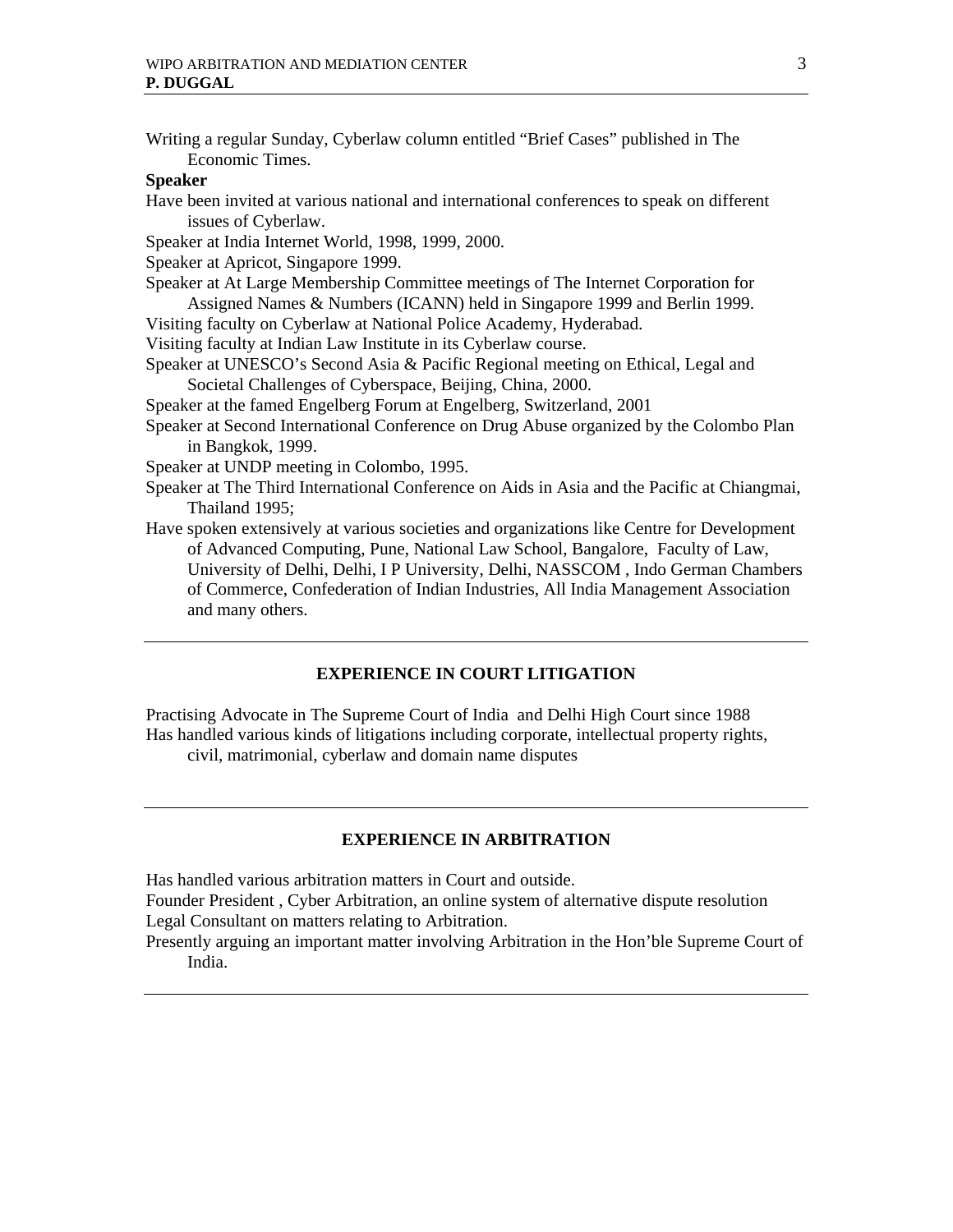Writing a regular Sunday, Cyberlaw column entitled "Brief Cases" published in The Economic Times. **Speaker**  Have been invited at various national and international conferences to speak on different issues of Cyberlaw. Speaker at India Internet World, 1998, 1999, 2000. Speaker at Apricot, Singapore 1999. Speaker at At Large Membership Committee meetings of The Internet Corporation for Assigned Names & Numbers (ICANN) held in Singapore 1999 and Berlin 1999. Visiting faculty on Cyberlaw at National Police Academy, Hyderabad. Visiting faculty at Indian Law Institute in its Cyberlaw course. Speaker at UNESCO's Second Asia & Pacific Regional meeting on Ethical, Legal and Societal Challenges of Cyberspace, Beijing, China, 2000. Speaker at the famed Engelberg Forum at Engelberg, Switzerland, 2001 Speaker at Second International Conference on Drug Abuse organized by the Colombo Plan in Bangkok, 1999. Speaker at UNDP meeting in Colombo, 1995. Speaker at The Third International Conference on Aids in Asia and the Pacific at Chiangmai, Thailand 1995; Have spoken extensively at various societies and organizations like Centre for Development of Advanced Computing, Pune, National Law School, Bangalore, Faculty of Law, University of Delhi, Delhi, I P University, Delhi, NASSCOM , Indo German Chambers of Commerce, Confederation of Indian Industries, All India Management Association and many others.

## **EXPERIENCE IN COURT LITIGATION**

Practising Advocate in The Supreme Court of India and Delhi High Court since 1988 Has handled various kinds of litigations including corporate, intellectual property rights, civil, matrimonial, cyberlaw and domain name disputes

## **EXPERIENCE IN ARBITRATION**

Has handled various arbitration matters in Court and outside.

Founder President , Cyber Arbitration, an online system of alternative dispute resolution Legal Consultant on matters relating to Arbitration.

Presently arguing an important matter involving Arbitration in the Hon'ble Supreme Court of India.